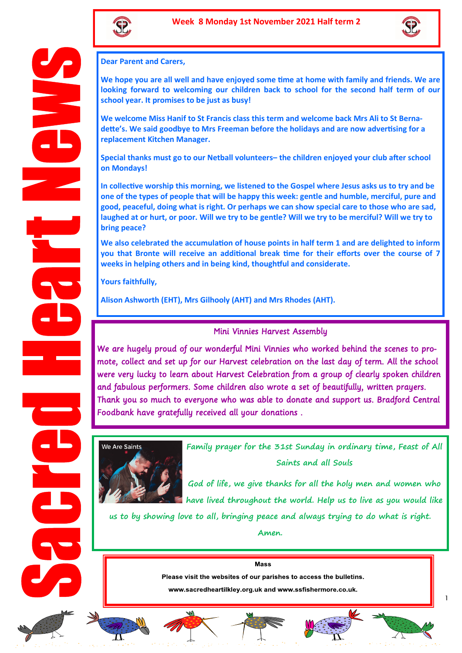



**Dear Parent and Carers,** 

**We hope you are all well and have enjoyed some time at home with family and friends. We are looking forward to welcoming our children back to school for the second half term of our school year. It promises to be just as busy!** 

**We welcome Miss Hanif to St Francis class this term and welcome back Mrs Ali to St Bernadette's. We said goodbye to Mrs Freeman before the holidays and are now advertising for a replacement Kitchen Manager.** 

**Special thanks must go to our Netball volunteers– the children enjoyed your club after school on Mondays!** 

**In collective worship this morning, we listened to the Gospel where Jesus asks us to try and be one of the types of people that will be happy this week: gentle and humble, merciful, pure and good, peaceful, doing what is right. Or perhaps we can show special care to those who are sad, laughed at or hurt, or poor. Will we try to be gentle? Will we try to be merciful? Will we try to bring peace?** 

**We also celebrated the accumulation of house points in half term 1 and are delighted to inform you that Bronte will receive an additional break time for their efforts over the course of 7 weeks in helping others and in being kind, thoughtful and considerate.** 

**Yours faithfully,**

**Alison Ashworth (EHT), Mrs Gilhooly (AHT) and Mrs Rhodes (AHT).** 

## Mini Vinnies Harvest Assembly

We are hugely proud of our wonderful Mini Vinnies who worked behind the scenes to promote, collect and set up for our Harvest celebration on the last day of term. All the school were very lucky to learn about Harvest Celebration from a group of clearly spoken children and fabulous performers. Some children also wrote a set of beautifully, written prayers. Thank you so much to everyone who was able to donate and support us. Bradford Central Foodbank have gratefully received all your donations .



**Family prayer for the 31st Sunday in ordinary time, Feast of All Saints and all Souls**

**God of life, we give thanks for all the holy men and women who have lived throughout the world. Help us to live as you would like** 

**us to by showing love to all, bringing peace and always trying to do what is right. Amen.** 

> **Mass** Please visit the websites of our parishes to access the bulletins.

www.sacredheartilkley.org.uk and www.ssfishermore.co.uk.













1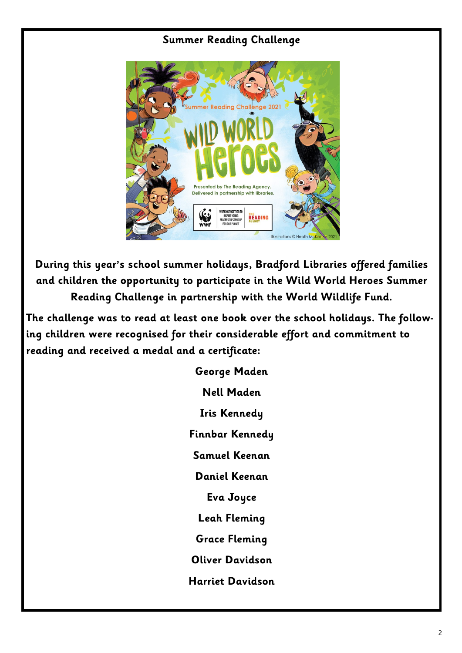## **Summer Reading Challenge**



**During this year's school summer holidays, Bradford Libraries offered families and children the opportunity to participate in the Wild World Heroes Summer Reading Challenge in partnership with the World Wildlife Fund.**

**The challenge was to read at least one book over the school holidays. The following children were recognised for their considerable effort and commitment to reading and received a medal and a certificate:**

> **George Maden Nell Maden Iris Kennedy Finnbar Kennedy Samuel Keenan Daniel Keenan Eva Joyce Leah Fleming Grace Fleming Oliver Davidson Harriet Davidson**